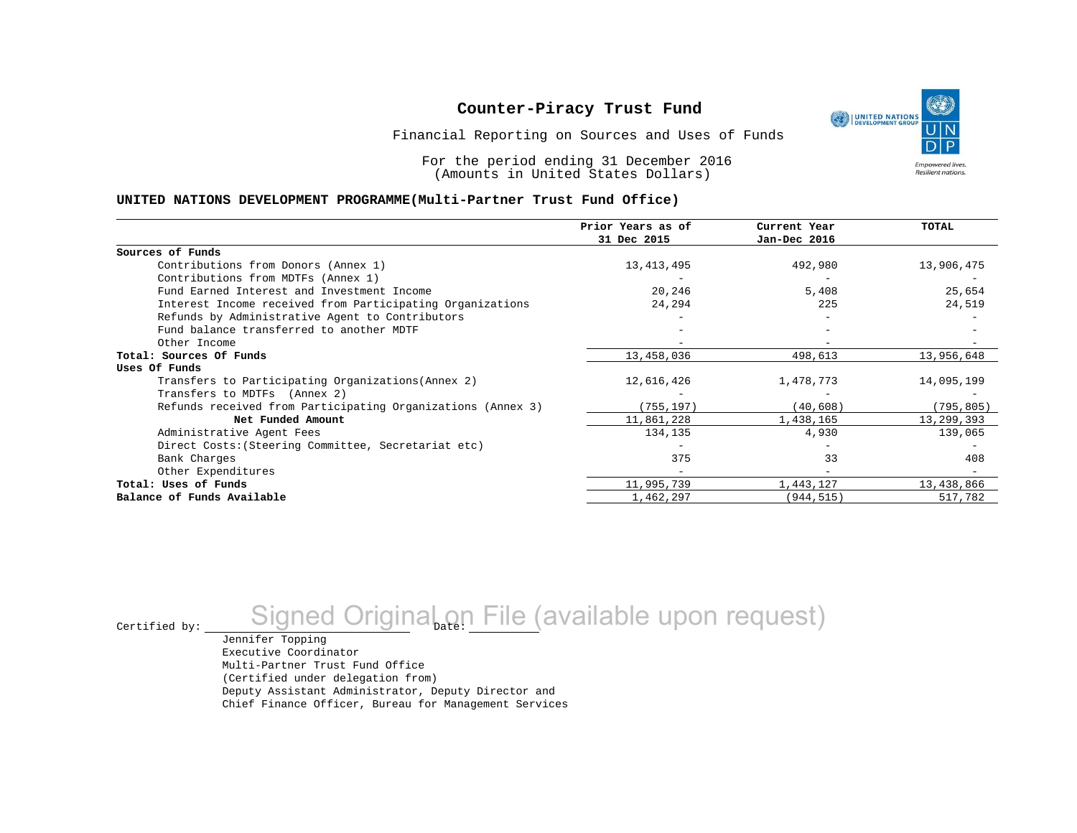

Financial Reporting on Sources and Uses of Funds

For the period ending 31 December 2016 (Amounts in United States Dollars)

#### **UNITED NATIONS DEVELOPMENT PROGRAMME(Multi-Partner Trust Fund Office)**

|                                                             | Prior Years as of | Current Year | TOTAL      |
|-------------------------------------------------------------|-------------------|--------------|------------|
|                                                             | 31 Dec 2015       | Jan-Dec 2016 |            |
| Sources of Funds                                            |                   |              |            |
| Contributions from Donors (Annex 1)                         | 13, 413, 495      | 492,980      | 13,906,475 |
| Contributions from MDTFs (Annex 1)                          |                   |              |            |
| Fund Earned Interest and Investment Income                  | 20,246            | 5,408        | 25,654     |
| Interest Income received from Participating Organizations   | 24,294            | 225          | 24,519     |
| Refunds by Administrative Agent to Contributors             |                   |              |            |
| Fund balance transferred to another MDTF                    |                   |              |            |
| Other Income                                                |                   |              |            |
| Total: Sources Of Funds                                     | 13,458,036        | 498,613      | 13,956,648 |
| Uses Of Funds                                               |                   |              |            |
| Transfers to Participating Organizations (Annex 2)          | 12,616,426        | 1,478,773    | 14,095,199 |
| Transfers to MDTFs (Annex 2)                                |                   |              |            |
| Refunds received from Participating Organizations (Annex 3) | (755, 197)        | (40, 608)    | (795, 805) |
| Net Funded Amount                                           | 11,861,228        | 1,438,165    | 13,299,393 |
| Administrative Agent Fees                                   | 134,135           | 4,930        | 139,065    |
| Direct Costs: (Steering Committee, Secretariat etc)         |                   |              |            |
| Bank Charges                                                | 375               | 33           | 408        |
| Other Expenditures                                          |                   |              |            |
| Total: Uses of Funds                                        | 11,995,739        | 1,443,127    | 13,438,866 |
| Balance of Funds Available                                  | 1,462,297         | (944, 515)   | 517,782    |

Certified by: <u>Signed Original on File</u> (available upon request)

Jennifer Topping Executive Coordinator Multi-Partner Trust Fund Office (Certified under delegation from) Deputy Assistant Administrator, Deputy Director and Chief Finance Officer, Bureau for Management Services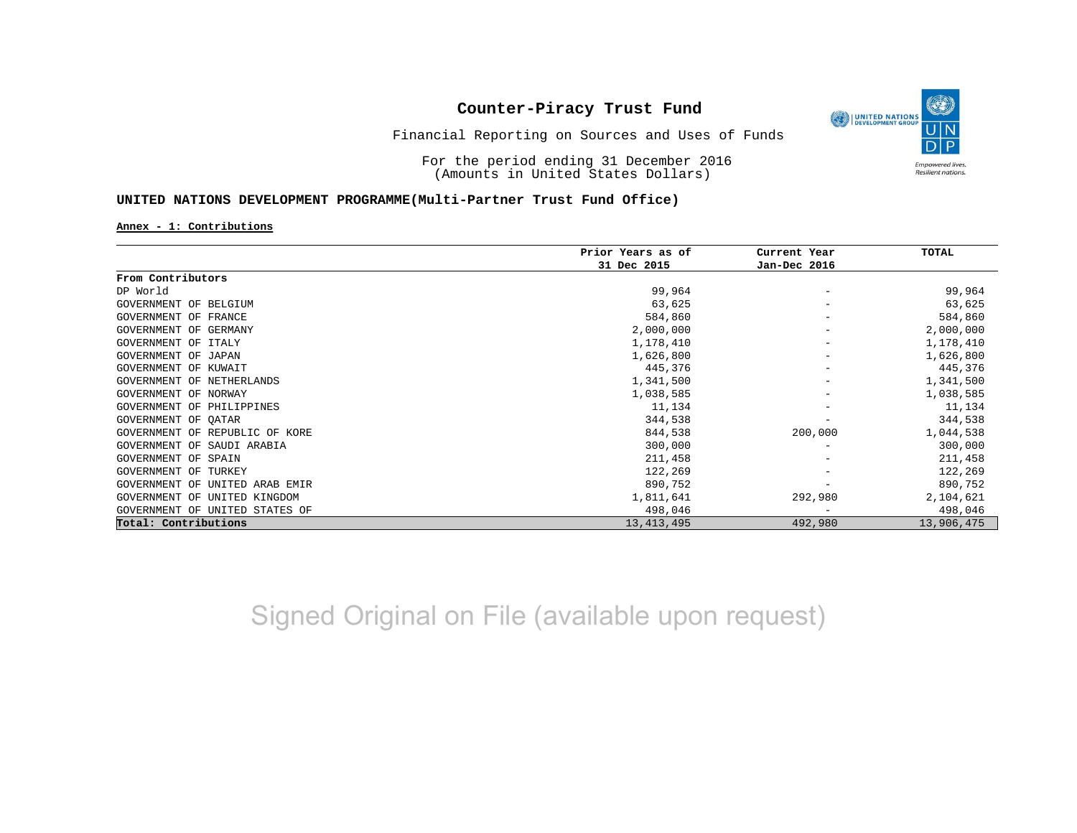

Financial Reporting on Sources and Uses of Funds

For the period ending 31 December 2016 (Amounts in United States Dollars)

### **UNITED NATIONS DEVELOPMENT PROGRAMME(Multi-Partner Trust Fund Office)**

**Annex - 1: Contributions**

|                                   | Prior Years as of | Current Year<br>Jan-Dec 2016 | <b>TOTAL</b> |
|-----------------------------------|-------------------|------------------------------|--------------|
|                                   | 31 Dec 2015       |                              |              |
| From Contributors                 |                   |                              |              |
| DP World                          | 99,964            |                              | 99,964       |
| GOVERNMENT OF BELGIUM             | 63,625            |                              | 63,625       |
| GOVERNMENT OF FRANCE              | 584,860           |                              | 584,860      |
| GOVERNMENT OF GERMANY             | 2,000,000         | -                            | 2,000,000    |
| GOVERNMENT OF ITALY               | 1,178,410         |                              | 1,178,410    |
| GOVERNMENT OF<br>JAPAN            | 1,626,800         | -                            | 1,626,800    |
| GOVERNMENT OF KUWAIT              | 445,376           | -                            | 445,376      |
| GOVERNMENT OF NETHERLANDS         | 1,341,500         |                              | 1,341,500    |
| GOVERNMENT OF NORWAY              | 1,038,585         |                              | 1,038,585    |
| <b>GOVERNMENT OF PHILIPPINES</b>  | 11,134            |                              | 11,134       |
| GOVERNMENT OF QATAR               | 344,538           |                              | 344,538      |
| GOVERNMENT OF REPUBLIC OF KORE    | 844,538           | 200,000                      | 1,044,538    |
| GOVERNMENT OF SAUDI ARABIA        | 300,000           |                              | 300,000      |
| GOVERNMENT OF SPAIN               | 211,458           |                              | 211,458      |
| GOVERNMENT OF TURKEY              | 122,269           |                              | 122,269      |
| GOVERNMENT OF<br>UNITED ARAB EMIR | 890,752           |                              | 890,752      |
| GOVERNMENT OF<br>UNITED KINGDOM   | 1,811,641         | 292,980                      | 2,104,621    |
| GOVERNMENT OF UNITED STATES OF    | 498,046           | $\overline{\phantom{a}}$     | 498,046      |
| Total: Contributions              | 13, 413, 495      | 492,980                      | 13,906,475   |

Signed Original on File (available upon request)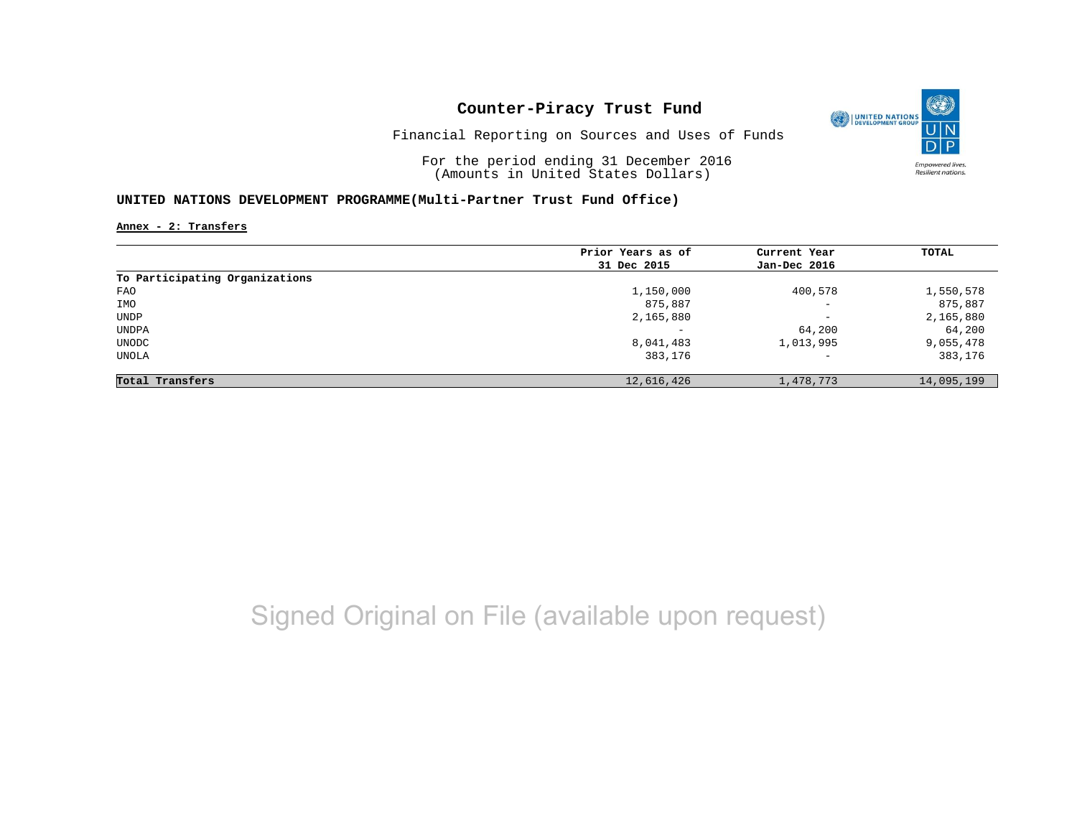

Financial Reporting on Sources and Uses of Funds

For the period ending 31 December 2016 (Amounts in United States Dollars)

### **UNITED NATIONS DEVELOPMENT PROGRAMME(Multi-Partner Trust Fund Office)**

**Annex - 2: Transfers**

|                                | Prior Years as of | Current Year             | TOTAL      |
|--------------------------------|-------------------|--------------------------|------------|
|                                | 31 Dec 2015       | Jan-Dec 2016             |            |
| To Participating Organizations |                   |                          |            |
| FAO                            | 1,150,000         | 400,578                  | 1,550,578  |
| IMO                            | 875,887           | $\overline{\phantom{0}}$ | 875,887    |
| UNDP                           | 2,165,880         | $\qquad \qquad -$        | 2,165,880  |
| UNDPA                          |                   | 64,200                   | 64,200     |
| UNODC                          | 8,041,483         | 1,013,995                | 9,055,478  |
| UNOLA                          | 383,176           | $\qquad \qquad -$        | 383,176    |
| Total Transfers                | 12,616,426        | 1,478,773                | 14,095,199 |

# Signed Original on File (available upon request)